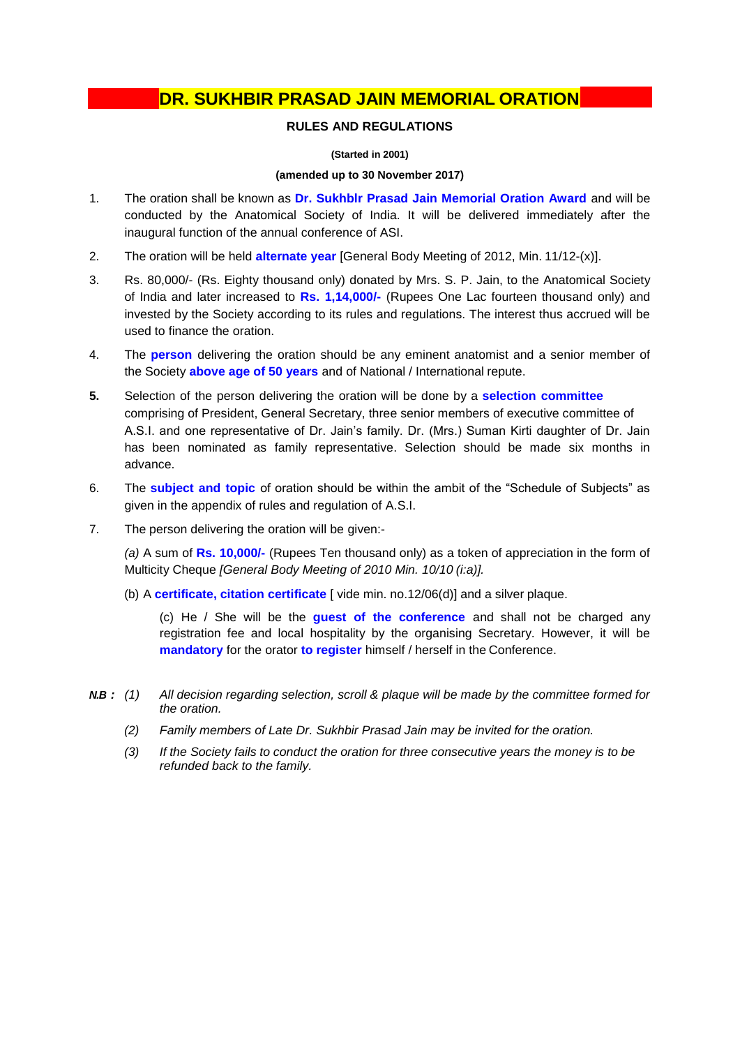## **DR. SUKHBIR PRASAD JAIN MEMORIAL ORATION**

### **RULES AND REGULATIONS**

#### **(Started in 2001)**

#### **(amended up to 30 November 2017)**

- 1. The oration shall be known as **Dr. Sukhblr Prasad Jain Memorial Oration Award** and will be conducted by the Anatomical Society of India. It will be delivered immediately after the inaugural function of the annual conference of ASI.
- 2. The oration will be held **alternate year** [General Body Meeting of 2012, Min. 11/12-(x)].
- 3. Rs. 80,000/- (Rs. Eighty thousand only) donated by Mrs. S. P. Jain, to the Anatomical Society of India and later increased to **Rs. 1,14,000/-** (Rupees One Lac fourteen thousand only) and invested by the Society according to its rules and regulations. The interest thus accrued will be used to finance the oration.
- 4. The **person** delivering the oration should be any eminent anatomist and a senior member of the Society **above age of 50 years** and of National / International repute.
- **5.** Selection of the person delivering the oration will be done by a **selection committee** comprising of President, General Secretary, three senior members of executive committee of A.S.I. and one representative of Dr. Jain's family. Dr. (Mrs.) Suman Kirti daughter of Dr. Jain has been nominated as family representative. Selection should be made six months in advance.
- 6. The **subject and topic** of oration should be within the ambit of the "Schedule of Subjects" as given in the appendix of rules and regulation of A.S.I.
- 7. The person delivering the oration will be given:-

*(a)* A sum of **Rs. 10,000/-** (Rupees Ten thousand only) as a token of appreciation in the form of Multicity Cheque *[General Body Meeting of 2010 Min. 10/10 (i:a)].*

(b) A **certificate, citation certificate** [ vide min. no.12/06(d)] and a silver plaque.

(c) He / She will be the **guest of the conference** and shall not be charged any registration fee and local hospitality by the organising Secretary. However, it will be **mandatory** for the orator **to register** himself / herself in the Conference.

- *N.B : (1) All decision regarding selection, scroll & plaque will be made by the committee formed for the oration.*
	- *(2) Family members of Late Dr. Sukhbir Prasad Jain may be invited for the oration.*
	- *(3) If the Society fails to conduct the oration for three consecutive years the money is to be refunded back to the family.*